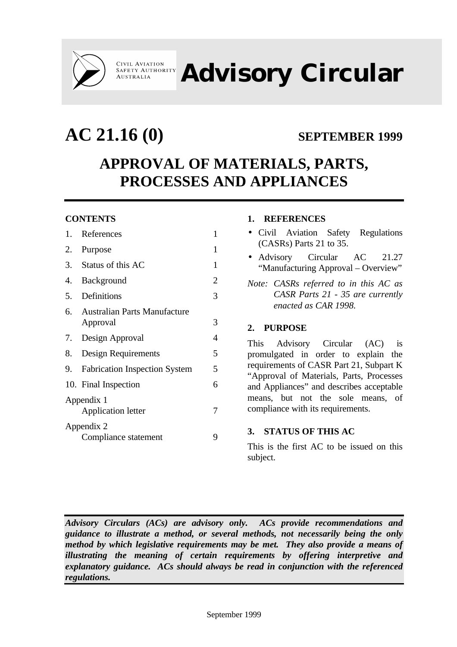

**CIVIL AVIATION<br>SAFETY AUTHORITY AUSTRALIA** 

**Advisory Circular**

# **AC 21.16 (0) SEPTEMBER 1999 APPROVAL OF MATERIALS, PARTS, PROCESSES AND APPLIANCES**

# **CONTENTS**

| 1.         | References                           | 1 |  |  |
|------------|--------------------------------------|---|--|--|
| 2.         | Purpose                              | 1 |  |  |
| 3.         | Status of this AC                    | 1 |  |  |
| 4.         | Background                           | 2 |  |  |
| 5.         | Definitions                          | 3 |  |  |
| 6.         | <b>Australian Parts Manufacture</b>  |   |  |  |
|            | Approval                             | 3 |  |  |
|            | 7. Design Approval                   | 4 |  |  |
|            | 8. Design Requirements               | 5 |  |  |
| 9.         | <b>Fabrication Inspection System</b> | 5 |  |  |
|            | 10. Final Inspection                 | 6 |  |  |
| Appendix 1 |                                      |   |  |  |
|            | <b>Application letter</b>            |   |  |  |
| Appendix 2 |                                      |   |  |  |
|            | Compliance statement                 | Q |  |  |
|            |                                      |   |  |  |

## **1. REFERENCES**

- Civil Aviation Safety Regulations (CASRs) Parts 21 to 35.
- Advisory Circular AC 21.27 "Manufacturing Approval – Overview"
- *Note: CASRs referred to in this AC as CASR Parts 21 - 35 are currently enacted as CAR 1998.*

# **2. PURPOSE**

This Advisory Circular (AC) is promulgated in order to explain the requirements of CASR Part 21, Subpart K "Approval of Materials, Parts, Processes and Appliances" and describes acceptable means, but not the sole means, of compliance with its requirements.

# **3. STATUS OF THIS AC**

This is the first AC to be issued on this subject.

*Advisory Circulars (ACs) are advisory only. ACs provide recommendations and guidance to illustrate a method, or several methods, not necessarily being the only method by which legislative requirements may be met. They also provide a means of illustrating the meaning of certain requirements by offering interpretive and explanatory guidance. ACs should always be read in conjunction with the referenced regulations.*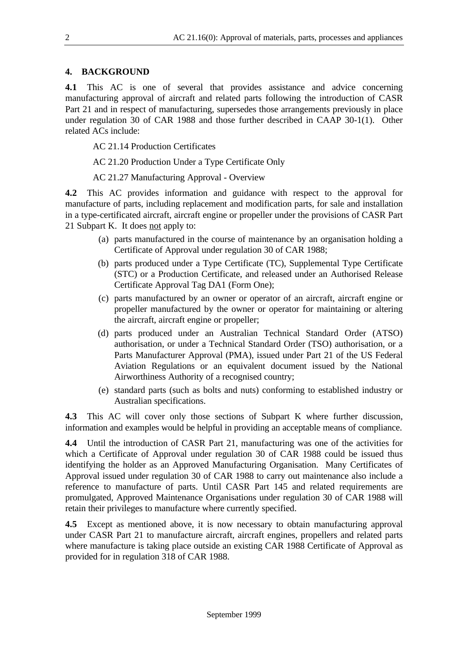# **4. BACKGROUND**

**4.1** This AC is one of several that provides assistance and advice concerning manufacturing approval of aircraft and related parts following the introduction of CASR Part 21 and in respect of manufacturing, supersedes those arrangements previously in place under regulation 30 of CAR 1988 and those further described in CAAP 30-1(1). Other related ACs include:

AC 21.14 Production Certificates

AC 21.20 Production Under a Type Certificate Only

AC 21.27 Manufacturing Approval - Overview

**4.2** This AC provides information and guidance with respect to the approval for manufacture of parts, including replacement and modification parts, for sale and installation in a type-certificated aircraft, aircraft engine or propeller under the provisions of CASR Part 21 Subpart K. It does not apply to:

- (a) parts manufactured in the course of maintenance by an organisation holding a Certificate of Approval under regulation 30 of CAR 1988;
- (b) parts produced under a Type Certificate (TC), Supplemental Type Certificate (STC) or a Production Certificate, and released under an Authorised Release Certificate Approval Tag DA1 (Form One);
- (c) parts manufactured by an owner or operator of an aircraft, aircraft engine or propeller manufactured by the owner or operator for maintaining or altering the aircraft, aircraft engine or propeller;
- (d) parts produced under an Australian Technical Standard Order (ATSO) authorisation, or under a Technical Standard Order (TSO) authorisation, or a Parts Manufacturer Approval (PMA), issued under Part 21 of the US Federal Aviation Regulations or an equivalent document issued by the National Airworthiness Authority of a recognised country;
- (e) standard parts (such as bolts and nuts) conforming to established industry or Australian specifications.

**4.3** This AC will cover only those sections of Subpart K where further discussion, information and examples would be helpful in providing an acceptable means of compliance.

**4.4** Until the introduction of CASR Part 21, manufacturing was one of the activities for which a Certificate of Approval under regulation 30 of CAR 1988 could be issued thus identifying the holder as an Approved Manufacturing Organisation. Many Certificates of Approval issued under regulation 30 of CAR 1988 to carry out maintenance also include a reference to manufacture of parts. Until CASR Part 145 and related requirements are promulgated, Approved Maintenance Organisations under regulation 30 of CAR 1988 will retain their privileges to manufacture where currently specified.

**4.5** Except as mentioned above, it is now necessary to obtain manufacturing approval under CASR Part 21 to manufacture aircraft, aircraft engines, propellers and related parts where manufacture is taking place outside an existing CAR 1988 Certificate of Approval as provided for in regulation 318 of CAR 1988.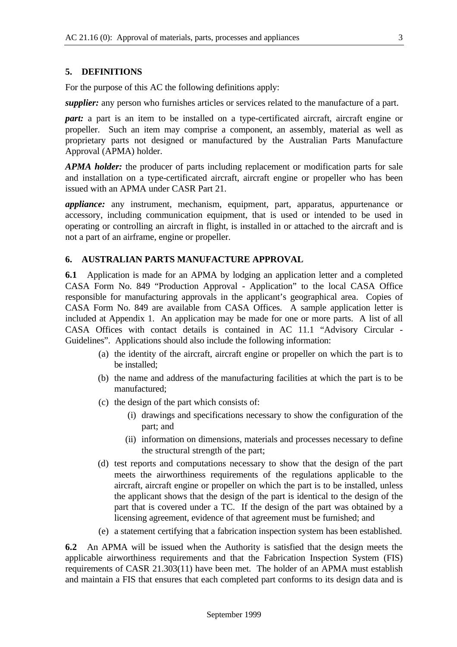#### **5. DEFINITIONS**

For the purpose of this AC the following definitions apply:

*supplier:* any person who furnishes articles or services related to the manufacture of a part.

*part:* a part is an item to be installed on a type-certificated aircraft, aircraft engine or propeller. Such an item may comprise a component, an assembly, material as well as proprietary parts not designed or manufactured by the Australian Parts Manufacture Approval (APMA) holder.

*APMA holder:* the producer of parts including replacement or modification parts for sale and installation on a type-certificated aircraft, aircraft engine or propeller who has been issued with an APMA under CASR Part 21.

*appliance:* any instrument, mechanism, equipment, part, apparatus, appurtenance or accessory, including communication equipment, that is used or intended to be used in operating or controlling an aircraft in flight, is installed in or attached to the aircraft and is not a part of an airframe, engine or propeller.

#### **6. AUSTRALIAN PARTS MANUFACTURE APPROVAL**

**6.1** Application is made for an APMA by lodging an application letter and a completed CASA Form No. 849 "Production Approval - Application" to the local CASA Office responsible for manufacturing approvals in the applicant's geographical area. Copies of CASA Form No. 849 are available from CASA Offices. A sample application letter is included at Appendix 1. An application may be made for one or more parts. A list of all CASA Offices with contact details is contained in AC 11.1 "Advisory Circular - Guidelines". Applications should also include the following information:

- (a) the identity of the aircraft, aircraft engine or propeller on which the part is to be installed;
- (b) the name and address of the manufacturing facilities at which the part is to be manufactured;
- (c) the design of the part which consists of:
	- (i) drawings and specifications necessary to show the configuration of the part; and
	- (ii) information on dimensions, materials and processes necessary to define the structural strength of the part;
- (d) test reports and computations necessary to show that the design of the part meets the airworthiness requirements of the regulations applicable to the aircraft, aircraft engine or propeller on which the part is to be installed, unless the applicant shows that the design of the part is identical to the design of the part that is covered under a TC. If the design of the part was obtained by a licensing agreement, evidence of that agreement must be furnished; and
- (e) a statement certifying that a fabrication inspection system has been established.

**6.2** An APMA will be issued when the Authority is satisfied that the design meets the applicable airworthiness requirements and that the Fabrication Inspection System (FIS) requirements of CASR 21.303(11) have been met. The holder of an APMA must establish and maintain a FIS that ensures that each completed part conforms to its design data and is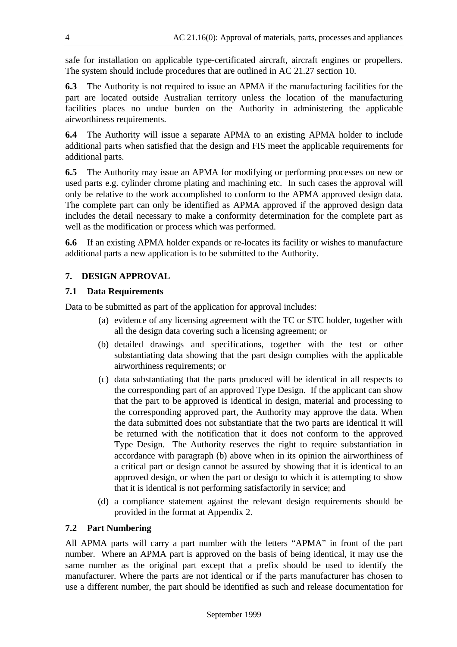safe for installation on applicable type-certificated aircraft, aircraft engines or propellers. The system should include procedures that are outlined in AC 21.27 section 10.

**6.3** The Authority is not required to issue an APMA if the manufacturing facilities for the part are located outside Australian territory unless the location of the manufacturing facilities places no undue burden on the Authority in administering the applicable airworthiness requirements.

**6.4** The Authority will issue a separate APMA to an existing APMA holder to include additional parts when satisfied that the design and FIS meet the applicable requirements for additional parts.

**6.5** The Authority may issue an APMA for modifying or performing processes on new or used parts e.g. cylinder chrome plating and machining etc. In such cases the approval will only be relative to the work accomplished to conform to the APMA approved design data. The complete part can only be identified as APMA approved if the approved design data includes the detail necessary to make a conformity determination for the complete part as well as the modification or process which was performed.

**6.6** If an existing APMA holder expands or re-locates its facility or wishes to manufacture additional parts a new application is to be submitted to the Authority.

## **7. DESIGN APPROVAL**

#### **7.1 Data Requirements**

Data to be submitted as part of the application for approval includes:

- (a) evidence of any licensing agreement with the TC or STC holder, together with all the design data covering such a licensing agreement; or
- (b) detailed drawings and specifications, together with the test or other substantiating data showing that the part design complies with the applicable airworthiness requirements; or
- (c) data substantiating that the parts produced will be identical in all respects to the corresponding part of an approved Type Design. If the applicant can show that the part to be approved is identical in design, material and processing to the corresponding approved part, the Authority may approve the data. When the data submitted does not substantiate that the two parts are identical it will be returned with the notification that it does not conform to the approved Type Design. The Authority reserves the right to require substantiation in accordance with paragraph (b) above when in its opinion the airworthiness of a critical part or design cannot be assured by showing that it is identical to an approved design, or when the part or design to which it is attempting to show that it is identical is not performing satisfactorily in service; and
- (d) a compliance statement against the relevant design requirements should be provided in the format at Appendix 2.

#### **7.2 Part Numbering**

All APMA parts will carry a part number with the letters "APMA" in front of the part number. Where an APMA part is approved on the basis of being identical, it may use the same number as the original part except that a prefix should be used to identify the manufacturer. Where the parts are not identical or if the parts manufacturer has chosen to use a different number, the part should be identified as such and release documentation for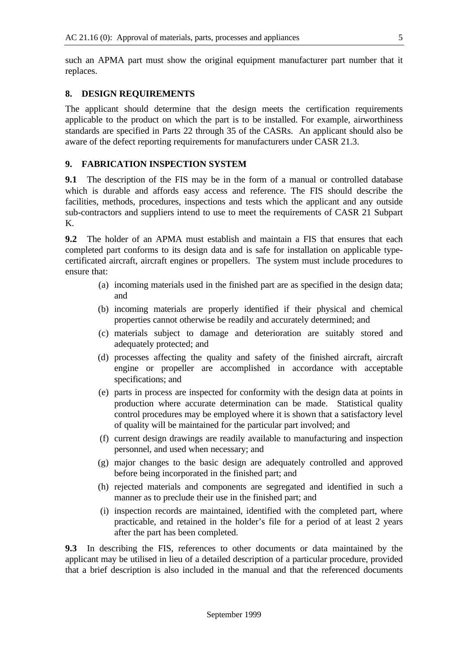such an APMA part must show the original equipment manufacturer part number that it replaces.

## **8. DESIGN REQUIREMENTS**

The applicant should determine that the design meets the certification requirements applicable to the product on which the part is to be installed. For example, airworthiness standards are specified in Parts 22 through 35 of the CASRs. An applicant should also be aware of the defect reporting requirements for manufacturers under CASR 21.3.

#### **9. FABRICATION INSPECTION SYSTEM**

**9.1** The description of the FIS may be in the form of a manual or controlled database which is durable and affords easy access and reference. The FIS should describe the facilities, methods, procedures, inspections and tests which the applicant and any outside sub-contractors and suppliers intend to use to meet the requirements of CASR 21 Subpart K.

**9.2** The holder of an APMA must establish and maintain a FIS that ensures that each completed part conforms to its design data and is safe for installation on applicable typecertificated aircraft, aircraft engines or propellers. The system must include procedures to ensure that:

- (a) incoming materials used in the finished part are as specified in the design data; and
- (b) incoming materials are properly identified if their physical and chemical properties cannot otherwise be readily and accurately determined; and
- (c) materials subject to damage and deterioration are suitably stored and adequately protected; and
- (d) processes affecting the quality and safety of the finished aircraft, aircraft engine or propeller are accomplished in accordance with acceptable specifications; and
- (e) parts in process are inspected for conformity with the design data at points in production where accurate determination can be made. Statistical quality control procedures may be employed where it is shown that a satisfactory level of quality will be maintained for the particular part involved; and
- (f) current design drawings are readily available to manufacturing and inspection personnel, and used when necessary; and
- (g) major changes to the basic design are adequately controlled and approved before being incorporated in the finished part; and
- (h) rejected materials and components are segregated and identified in such a manner as to preclude their use in the finished part; and
- (i) inspection records are maintained, identified with the completed part, where practicable, and retained in the holder's file for a period of at least 2 years after the part has been completed.

**9.3** In describing the FIS, references to other documents or data maintained by the applicant may be utilised in lieu of a detailed description of a particular procedure, provided that a brief description is also included in the manual and that the referenced documents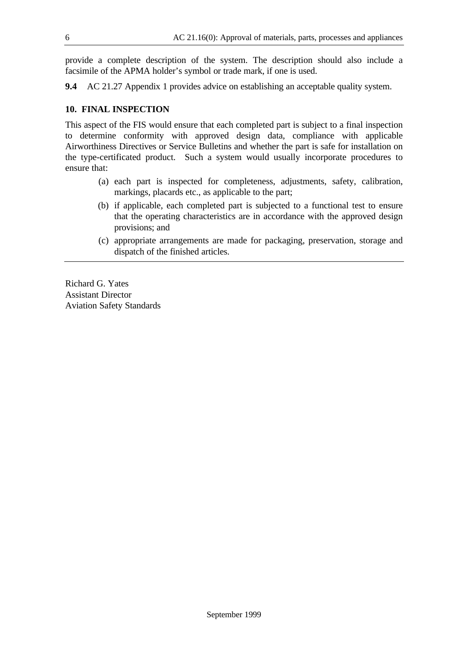provide a complete description of the system. The description should also include a facsimile of the APMA holder's symbol or trade mark, if one is used.

**9.4** AC 21.27 Appendix 1 provides advice on establishing an acceptable quality system.

#### **10. FINAL INSPECTION**

This aspect of the FIS would ensure that each completed part is subject to a final inspection to determine conformity with approved design data, compliance with applicable Airworthiness Directives or Service Bulletins and whether the part is safe for installation on the type-certificated product. Such a system would usually incorporate procedures to ensure that:

- (a) each part is inspected for completeness, adjustments, safety, calibration, markings, placards etc., as applicable to the part;
- (b) if applicable, each completed part is subjected to a functional test to ensure that the operating characteristics are in accordance with the approved design provisions; and
- (c) appropriate arrangements are made for packaging, preservation, storage and dispatch of the finished articles.

Richard G. Yates Assistant Director Aviation Safety Standards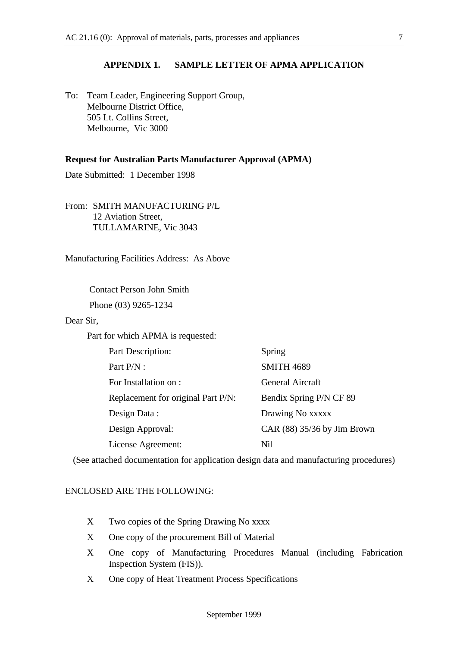#### **APPENDIX 1. SAMPLE LETTER OF APMA APPLICATION**

To: Team Leader, Engineering Support Group, Melbourne District Office, 505 Lt. Collins Street, Melbourne, Vic 3000

#### **Request for Australian Parts Manufacturer Approval (APMA)**

Date Submitted: 1 December 1998

From: SMITH MANUFACTURING P/L 12 Aviation Street, TULLAMARINE, Vic 3043

Manufacturing Facilities Address: As Above

Contact Person John Smith

Phone (03) 9265-1234

Dear Sir,

Part for which APMA is requested:

| Part Description:                  | Spring                        |
|------------------------------------|-------------------------------|
| Part P/N :                         | <b>SMITH 4689</b>             |
| For Installation on :              | General Aircraft              |
| Replacement for original Part P/N: | Bendix Spring P/N CF 89       |
| Design Data:                       | Drawing No xxxxx              |
| Design Approval:                   | CAR $(88)$ 35/36 by Jim Brown |
| License Agreement:                 | Nil                           |

(See attached documentation for application design data and manufacturing procedures)

#### ENCLOSED ARE THE FOLLOWING:

- X Two copies of the Spring Drawing No xxxx
- X One copy of the procurement Bill of Material
- X One copy of Manufacturing Procedures Manual (including Fabrication Inspection System (FIS)).
- X One copy of Heat Treatment Process Specifications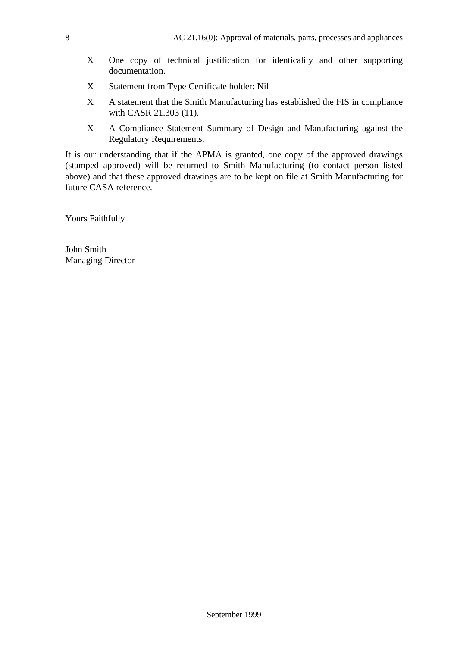- X One copy of technical justification for identicality and other supporting documentation.
- X Statement from Type Certificate holder: Nil
- X A statement that the Smith Manufacturing has established the FIS in compliance with CASR 21.303 (11).
- X A Compliance Statement Summary of Design and Manufacturing against the Regulatory Requirements.

It is our understanding that if the APMA is granted, one copy of the approved drawings (stamped approved) will be returned to Smith Manufacturing (to contact person listed above) and that these approved drawings are to be kept on file at Smith Manufacturing for future CASA reference.

Yours Faithfully

John Smith Managing Director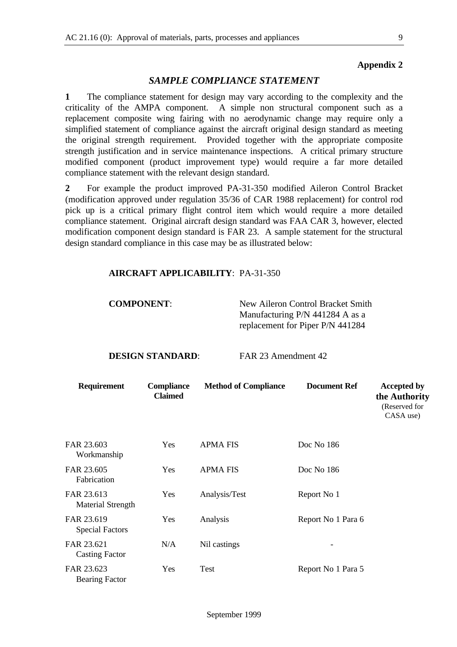#### **Appendix 2**

## *SAMPLE COMPLIANCE STATEMENT*

**1** The compliance statement for design may vary according to the complexity and the criticality of the AMPA component. A simple non structural component such as a replacement composite wing fairing with no aerodynamic change may require only a simplified statement of compliance against the aircraft original design standard as meeting the original strength requirement. Provided together with the appropriate composite strength justification and in service maintenance inspections. A critical primary structure modified component (product improvement type) would require a far more detailed compliance statement with the relevant design standard.

**2** For example the product improved PA-31-350 modified Aileron Control Bracket (modification approved under regulation 35/36 of CAR 1988 replacement) for control rod pick up is a critical primary flight control item which would require a more detailed compliance statement. Original aircraft design standard was FAA CAR 3, however, elected modification component design standard is FAR 23. A sample statement for the structural design standard compliance in this case may be as illustrated below:

#### **AIRCRAFT APPLICABILITY**: PA-31-350

**COMPONENT:** New Aileron Control Bracket Smith Manufacturing P/N 441284 A as a replacement for Piper P/N 441284

#### **DESIGN STANDARD:** FAR 23 Amendment 42

| <b>Requirement</b>                     | <b>Compliance</b><br><b>Claimed</b> | <b>Method of Compliance</b> | <b>Document Ref</b> | <b>Accepted by</b><br>the Authority<br>(Reserved for<br>CASA use) |
|----------------------------------------|-------------------------------------|-----------------------------|---------------------|-------------------------------------------------------------------|
| FAR 23.603<br>Workmanship              | Yes                                 | <b>APMA FIS</b>             | Doc No 186          |                                                                   |
| FAR 23.605<br>Fabrication              | Yes                                 | <b>APMA FIS</b>             | Doc No 186          |                                                                   |
| FAR 23.613<br><b>Material Strength</b> | Yes                                 | Analysis/Test               | Report No 1         |                                                                   |
| FAR 23.619<br><b>Special Factors</b>   | Yes                                 | Analysis                    | Report No 1 Para 6  |                                                                   |
| FAR 23.621<br><b>Casting Factor</b>    | N/A                                 | Nil castings                |                     |                                                                   |
| FAR 23.623<br><b>Bearing Factor</b>    | Yes                                 | Test                        | Report No 1 Para 5  |                                                                   |